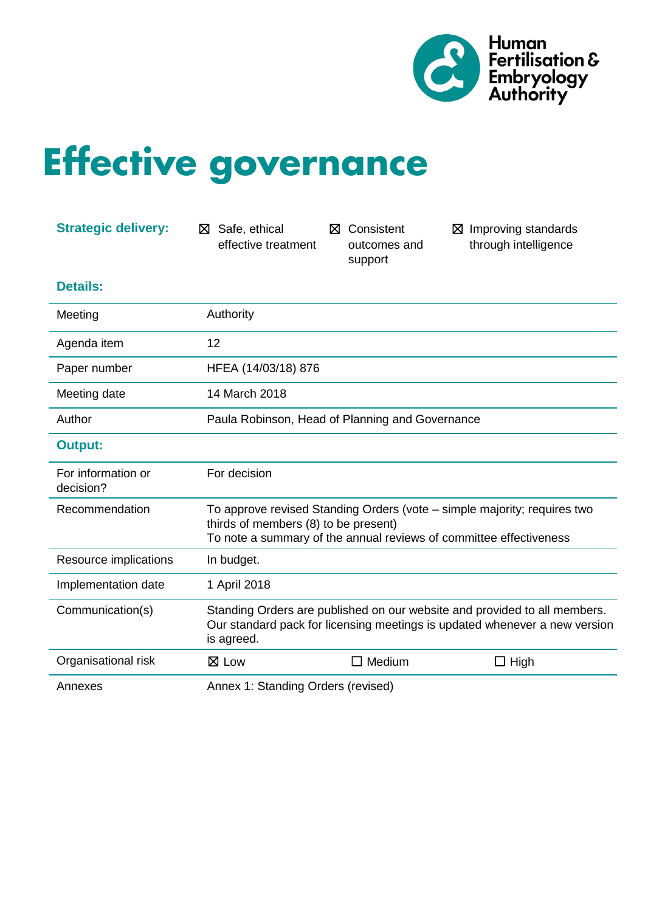

# **Effective governance**

| <b>Strategic delivery:</b>      | Safe, ethical<br>⊠<br>effective treatment                                                                                                                             | Consistent<br>⊠<br>outcomes and<br>support      | $\boxtimes$ Improving standards<br>through intelligence                                                                                        |
|---------------------------------|-----------------------------------------------------------------------------------------------------------------------------------------------------------------------|-------------------------------------------------|------------------------------------------------------------------------------------------------------------------------------------------------|
| <b>Details:</b>                 |                                                                                                                                                                       |                                                 |                                                                                                                                                |
| Meeting                         | Authority                                                                                                                                                             |                                                 |                                                                                                                                                |
| Agenda item                     | 12                                                                                                                                                                    |                                                 |                                                                                                                                                |
| Paper number                    | HFEA (14/03/18) 876                                                                                                                                                   |                                                 |                                                                                                                                                |
| Meeting date                    | 14 March 2018                                                                                                                                                         |                                                 |                                                                                                                                                |
| Author                          |                                                                                                                                                                       | Paula Robinson, Head of Planning and Governance |                                                                                                                                                |
| <b>Output:</b>                  |                                                                                                                                                                       |                                                 |                                                                                                                                                |
| For information or<br>decision? | For decision                                                                                                                                                          |                                                 |                                                                                                                                                |
| Recommendation                  | thirds of members (8) to be present)                                                                                                                                  |                                                 | To approve revised Standing Orders (vote – simple majority; requires two<br>To note a summary of the annual reviews of committee effectiveness |
| Resource implications           | In budget.                                                                                                                                                            |                                                 |                                                                                                                                                |
| Implementation date             | 1 April 2018                                                                                                                                                          |                                                 |                                                                                                                                                |
| Communication(s)                | Standing Orders are published on our website and provided to all members.<br>Our standard pack for licensing meetings is updated whenever a new version<br>is agreed. |                                                 |                                                                                                                                                |
| Organisational risk             | $\boxtimes$ Low                                                                                                                                                       | $\Box$ Medium                                   | $\Box$ High                                                                                                                                    |
| Annexes                         | Annex 1: Standing Orders (revised)                                                                                                                                    |                                                 |                                                                                                                                                |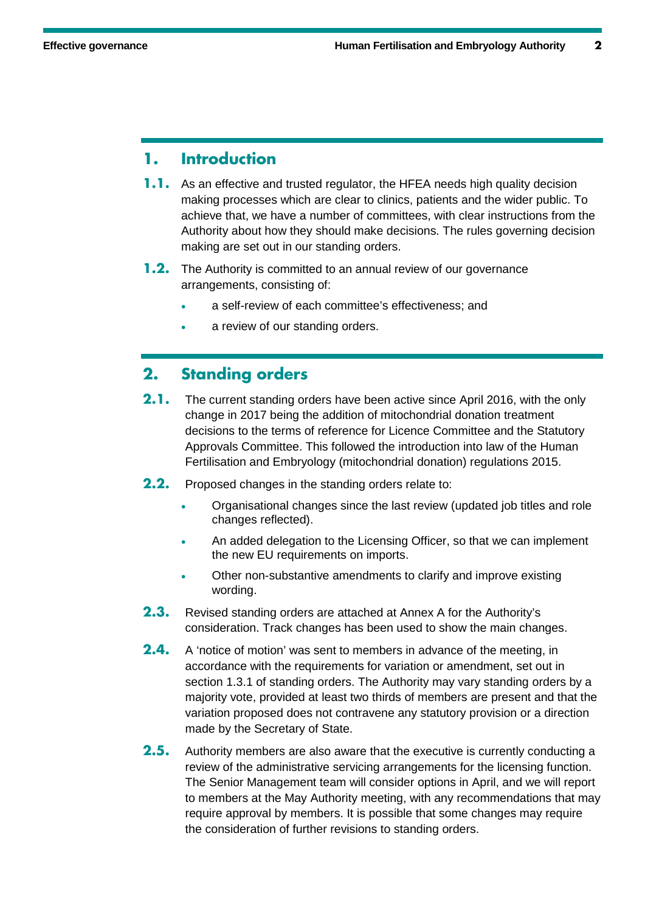#### **1. Introduction**

- **1.1.** As an effective and trusted regulator, the HFEA needs high quality decision making processes which are clear to clinics, patients and the wider public. To achieve that, we have a number of committees, with clear instructions from the Authority about how they should make decisions. The rules governing decision making are set out in our standing orders.
- **1.2.** The Authority is committed to an annual review of our governance arrangements, consisting of:
	- a self-review of each committee's effectiveness; and
	- a review of our standing orders.

#### **2. Standing orders**

- **2.1.** The current standing orders have been active since April 2016, with the only change in 2017 being the addition of mitochondrial donation treatment decisions to the terms of reference for Licence Committee and the Statutory Approvals Committee. This followed the introduction into law of the Human Fertilisation and Embryology (mitochondrial donation) regulations 2015.
- **2.2.** Proposed changes in the standing orders relate to:
	- Organisational changes since the last review (updated job titles and role changes reflected).
	- An added delegation to the Licensing Officer, so that we can implement the new EU requirements on imports.
	- Other non-substantive amendments to clarify and improve existing wording.
- **2.3.** Revised standing orders are attached at Annex A for the Authority's consideration. Track changes has been used to show the main changes.
- **2.4.** A 'notice of motion' was sent to members in advance of the meeting, in accordance with the requirements for variation or amendment, set out in section 1.3.1 of standing orders. The Authority may vary standing orders by a majority vote, provided at least two thirds of members are present and that the variation proposed does not contravene any statutory provision or a direction made by the Secretary of State.
- **2.5.** Authority members are also aware that the executive is currently conducting a review of the administrative servicing arrangements for the licensing function. The Senior Management team will consider options in April, and we will report to members at the May Authority meeting, with any recommendations that may require approval by members. It is possible that some changes may require the consideration of further revisions to standing orders.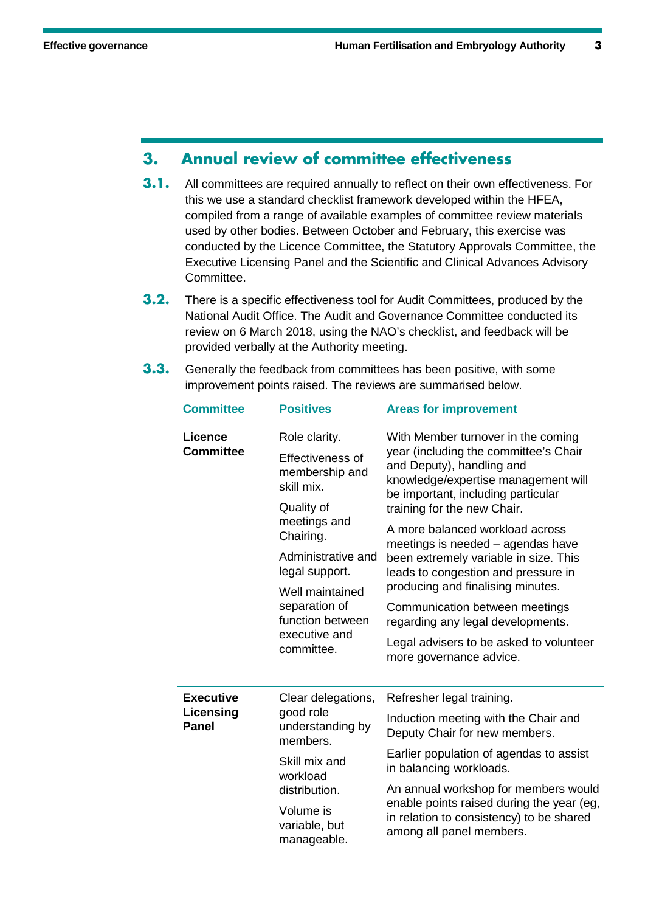### **3. Annual review of committee effectiveness**

- **3.1.** All committees are required annually to reflect on their own effectiveness. For this we use a standard checklist framework developed within the HFEA, compiled from a range of available examples of committee review materials used by other bodies. Between October and February, this exercise was conducted by the Licence Committee, the Statutory Approvals Committee, the Executive Licensing Panel and the Scientific and Clinical Advances Advisory Committee.
- **3.2.** There is a specific effectiveness tool for Audit Committees, produced by the National Audit Office. The Audit and Governance Committee conducted its review on 6 March 2018, using the NAO's checklist, and feedback will be provided verbally at the Authority meeting.
- **3.3.** Generally the feedback from committees has been positive, with some improvement points raised. The reviews are summarised below.

| <b>Committee</b>                              | <b>Positives</b>                                                                    | <b>Areas for improvement</b>                                                                                                                    |
|-----------------------------------------------|-------------------------------------------------------------------------------------|-------------------------------------------------------------------------------------------------------------------------------------------------|
| <b>Licence</b><br><b>Committee</b>            | Role clarity.                                                                       | With Member turnover in the coming                                                                                                              |
|                                               | Effectiveness of<br>membership and<br>skill mix.                                    | year (including the committee's Chair<br>and Deputy), handling and<br>knowledge/expertise management will<br>be important, including particular |
|                                               | Quality of<br>meetings and<br>Chairing.                                             | training for the new Chair.                                                                                                                     |
|                                               |                                                                                     | A more balanced workload across<br>meetings is needed - agendas have                                                                            |
|                                               | Administrative and<br>legal support.                                                | been extremely variable in size. This<br>leads to congestion and pressure in                                                                    |
|                                               | Well maintained<br>separation of<br>function between<br>executive and<br>committee. | producing and finalising minutes.                                                                                                               |
|                                               |                                                                                     | Communication between meetings<br>regarding any legal developments.                                                                             |
|                                               |                                                                                     | Legal advisers to be asked to volunteer<br>more governance advice.                                                                              |
| <b>Executive</b><br>Licensing<br><b>Panel</b> | Clear delegations,                                                                  | Refresher legal training.                                                                                                                       |
|                                               | good role<br>understanding by<br>members.                                           | Induction meeting with the Chair and<br>Deputy Chair for new members.                                                                           |
|                                               | Skill mix and<br>workload<br>distribution.                                          | Earlier population of agendas to assist<br>in balancing workloads.                                                                              |
|                                               |                                                                                     | An annual workshop for members would                                                                                                            |
|                                               | Volume is<br>variable, but<br>manageable.                                           | enable points raised during the year (eg,<br>in relation to consistency) to be shared<br>among all panel members.                               |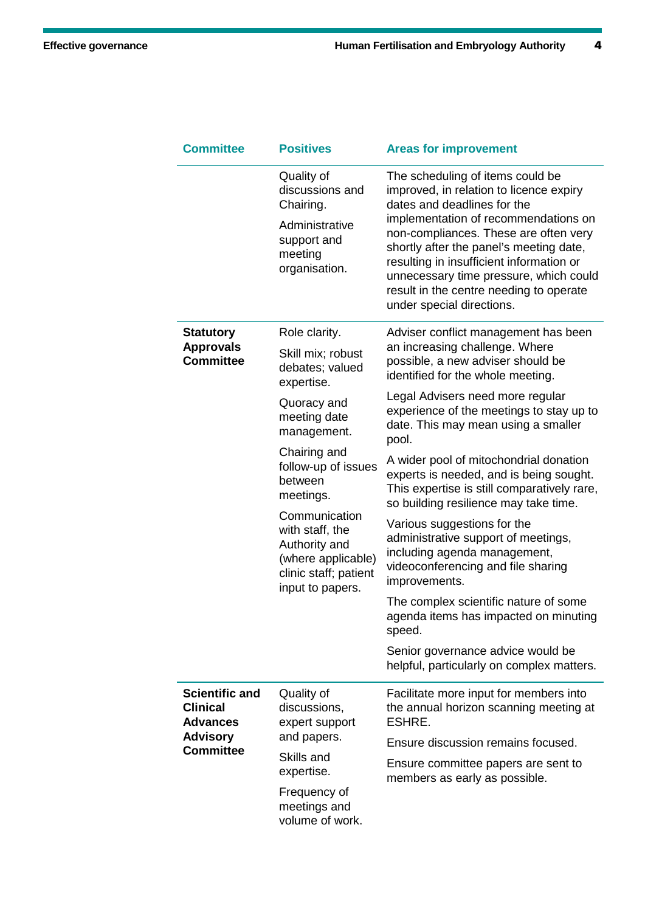| <b>Committee</b>                                                                                   | <b>Positives</b>                                                                                                                                                                    | <b>Areas for improvement</b>                                                                                                                                                                                                                                                                                                                                                                         |  |
|----------------------------------------------------------------------------------------------------|-------------------------------------------------------------------------------------------------------------------------------------------------------------------------------------|------------------------------------------------------------------------------------------------------------------------------------------------------------------------------------------------------------------------------------------------------------------------------------------------------------------------------------------------------------------------------------------------------|--|
|                                                                                                    | Quality of<br>discussions and<br>Chairing.<br>Administrative<br>support and<br>meeting<br>organisation.                                                                             | The scheduling of items could be<br>improved, in relation to licence expiry<br>dates and deadlines for the<br>implementation of recommendations on<br>non-compliances. These are often very<br>shortly after the panel's meeting date,<br>resulting in insufficient information or<br>unnecessary time pressure, which could<br>result in the centre needing to operate<br>under special directions. |  |
| <b>Statutory</b><br><b>Approvals</b><br><b>Committee</b>                                           | Role clarity.<br>Skill mix; robust<br>debates; valued<br>expertise.                                                                                                                 | Adviser conflict management has been<br>an increasing challenge. Where<br>possible, a new adviser should be<br>identified for the whole meeting.                                                                                                                                                                                                                                                     |  |
|                                                                                                    | Quoracy and<br>meeting date<br>management.                                                                                                                                          | Legal Advisers need more regular<br>experience of the meetings to stay up to<br>date. This may mean using a smaller<br>pool.                                                                                                                                                                                                                                                                         |  |
|                                                                                                    | Chairing and<br>follow-up of issues<br>between<br>meetings.<br>Communication<br>with staff, the<br>Authority and<br>(where applicable)<br>clinic staff; patient<br>input to papers. | A wider pool of mitochondrial donation<br>experts is needed, and is being sought.<br>This expertise is still comparatively rare,<br>so building resilience may take time.                                                                                                                                                                                                                            |  |
|                                                                                                    |                                                                                                                                                                                     | Various suggestions for the<br>administrative support of meetings,<br>including agenda management,<br>videoconferencing and file sharing<br>improvements.                                                                                                                                                                                                                                            |  |
|                                                                                                    |                                                                                                                                                                                     | The complex scientific nature of some<br>agenda items has impacted on minuting<br>speed.                                                                                                                                                                                                                                                                                                             |  |
|                                                                                                    |                                                                                                                                                                                     | Senior governance advice would be<br>helpful, particularly on complex matters.                                                                                                                                                                                                                                                                                                                       |  |
| <b>Scientific and</b><br><b>Clinical</b><br><b>Advances</b><br><b>Advisory</b><br><b>Committee</b> | Quality of<br>discussions,<br>expert support                                                                                                                                        | Facilitate more input for members into<br>the annual horizon scanning meeting at<br>ESHRE.                                                                                                                                                                                                                                                                                                           |  |
|                                                                                                    | and papers.                                                                                                                                                                         | Ensure discussion remains focused.                                                                                                                                                                                                                                                                                                                                                                   |  |
|                                                                                                    | Skills and<br>expertise.<br>Frequency of<br>meetings and<br>volume of work.                                                                                                         | Ensure committee papers are sent to<br>members as early as possible.                                                                                                                                                                                                                                                                                                                                 |  |
|                                                                                                    |                                                                                                                                                                                     |                                                                                                                                                                                                                                                                                                                                                                                                      |  |